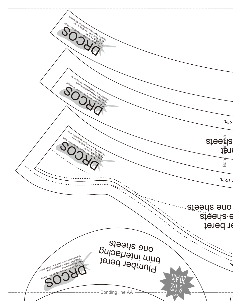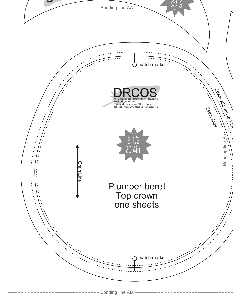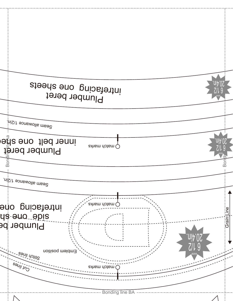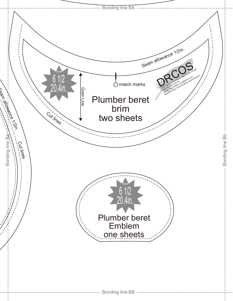